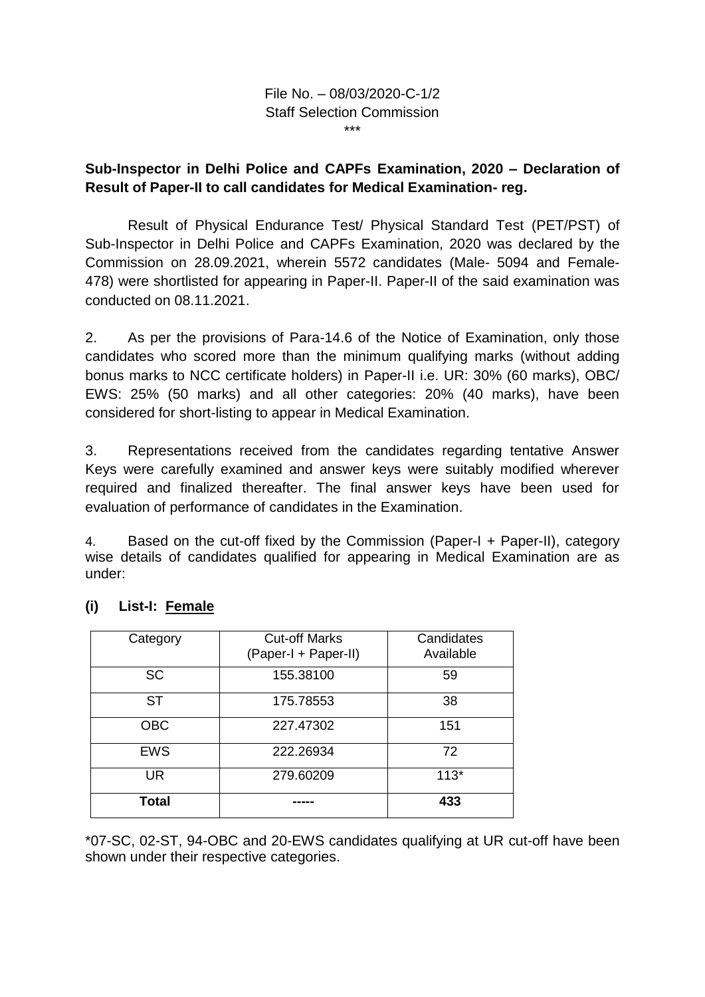File No. – 08/03/2020-C-1/2 Staff Selection Commission \*\*\*

## **Sub-Inspector in Delhi Police and CAPFs Examination, 2020 – Declaration of Result of Paper-II to call candidates for Medical Examination- reg.**

Result of Physical Endurance Test/ Physical Standard Test (PET/PST) of Sub-Inspector in Delhi Police and CAPFs Examination, 2020 was declared by the Commission on 28.09.2021, wherein 5572 candidates (Male- 5094 and Female-478) were shortlisted for appearing in Paper-II. Paper-II of the said examination was conducted on 08.11.2021.

2. As per the provisions of Para-14.6 of the Notice of Examination, only those candidates who scored more than the minimum qualifying marks (without adding bonus marks to NCC certificate holders) in Paper-II i.e. UR: 30% (60 marks), OBC/ EWS: 25% (50 marks) and all other categories: 20% (40 marks), have been considered for short-listing to appear in Medical Examination.

3. Representations received from the candidates regarding tentative Answer Keys were carefully examined and answer keys were suitably modified wherever required and finalized thereafter. The final answer keys have been used for evaluation of performance of candidates in the Examination.

4. Based on the cut-off fixed by the Commission (Paper-I + Paper-II), category wise details of candidates qualified for appearing in Medical Examination are as under:

| Category   | <b>Cut-off Marks</b><br>(Paper-I + Paper-II) | Candidates<br>Available |
|------------|----------------------------------------------|-------------------------|
| <b>SC</b>  | 155.38100                                    | 59                      |
| <b>ST</b>  | 175.78553                                    | 38                      |
| <b>OBC</b> | 227.47302                                    | 151                     |
| <b>EWS</b> | 222.26934                                    | 72                      |
| <b>UR</b>  | 279.60209                                    | $113*$                  |
| Total      |                                              | 433                     |

## **(i) List-I: Female**

\*07-SC, 02-ST, 94-OBC and 20-EWS candidates qualifying at UR cut-off have been shown under their respective categories.